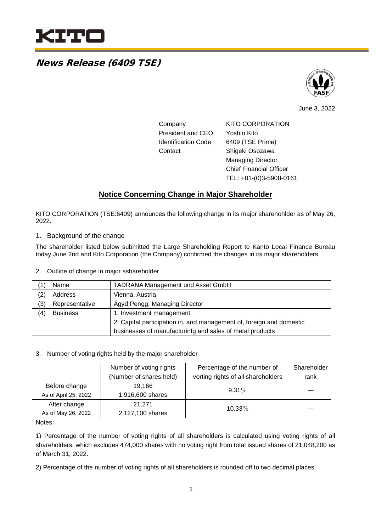

# News Release (6409 TSE)



June 3, 2022

| Company                    | KITO CORPORATION               |
|----------------------------|--------------------------------|
| <b>President and CEO</b>   | Yoshio Kito                    |
| <b>Identification Code</b> | 6409 (TSE Prime)               |
| Contact                    | Shigeki Osozawa                |
|                            | <b>Managing Director</b>       |
|                            | <b>Chief Financial Officer</b> |

TEL: +81-(0)3-5908-0161

### **Notice Concerning Change in Major Shareholder**

KITO CORPORATION (TSE:6409) announces the following change in its major sharehohlder as of May 26, 2022.

1. Background of the change

The shareholder listed below submitted the Large Shareholding Report to Kanto Local Finance Bureau today June 2nd and Kito Corporation (the Company) confirmed the changes in its major shareholders.

2. Outline of change in major sshareholder

| ้1) | Name            | <b>TADRANA Management und Asset GmbH</b>                             |  |
|-----|-----------------|----------------------------------------------------------------------|--|
| (2) | Address         | Vienna, Austria                                                      |  |
| (3) | Representative  | Ägyd Pengg, Managing Director                                        |  |
| (4) | <b>Business</b> | 1. Investment management                                             |  |
|     |                 | 2. Capital participation in, and management of, foreign and domestic |  |
|     |                 | businesses of manufacturinfg and sales of metal products             |  |

#### 3. Number of voting rights held by the major shareholder

|                      | Number of voting rights | Percentage of the number of        | Shareholder |
|----------------------|-------------------------|------------------------------------|-------------|
|                      | (Number of shares held) | vorting rights of all shareholders | rank        |
| Before change        | 19.166                  | $9.31\%$                           |             |
| As of April 25, 2022 | 1,916,600 shares        |                                    |             |
| After change         | 21.271                  | 10.33%                             |             |
| As of May 26, 2022   | 2,127,100 shares        |                                    |             |

Notes:

1) Percentage of the number of voting rights of all shareholders is calculated using voting rights of all shareholders, which excludes 474,000 shares with no voting right from total issued shares of 21,048,200 as of March 31, 2022.

2) Percentage of the number of voting rights of all shareholders is rounded off to two decimal places.